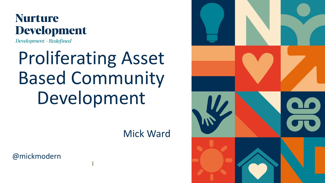### **Nurture** Development

Development - Redefined

# Proliferating Asset Based Community Development

Mick Ward

@mickmodern



l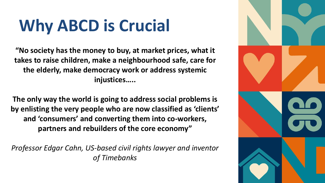# **Why ABCD is Crucial**

**"No society has the money to buy, at market prices, what it takes to raise children, make a neighbourhood safe, care for the elderly, make democracy work or address systemic injustices…..** 

**The only way the world is going to address social problems is by enlisting the very people who are now classified as 'clients' and 'consumers' and converting them into co-workers, partners and rebuilders of the core economy"**

*Professor Edgar Cahn, US-based civil rights lawyer and inventor of Timebanks*

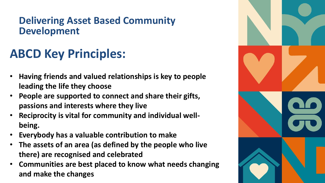### **Delivering Asset Based Community Development**

## **ABCD Key Principles:**

- **Having friends and valued relationships is key to people leading the life they choose**
- **People are supported to connect and share their gifts, passions and interests where they live**
- **Reciprocity is vital for community and individual wellbeing.**
- **Everybody has a valuable contribution to make**
- **The assets of an area (as defined by the people who live there) are recognised and celebrated**
- **Communities are best placed to know what needs changing and make the changes**

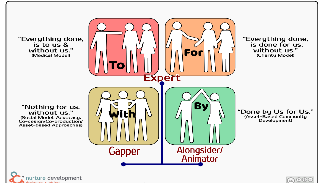"Everything done, is to us & without us." (Medical Model)

"Nothing for us,

without us."

(Social Model, Advocacy,<br>Co-design/Co-production/

Asset-based Approaches)





#### "Everything done, is done for us; without us." (Charity Model)

"Done by Us for Us." (Asset-Based Community Development)

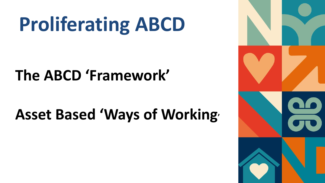# **Proliferating ABCD**

# **The ABCD 'Framework'**

# **Asset Based 'Ways of Working'**

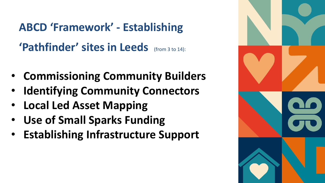**ABCD 'Framework' - Establishing 'Pathfinder' sites in Leeds** (from 3 to 14):

- **Commissioning Community Builders**
- **Identifying Community Connectors**
- **Local Led Asset Mapping**
- **Use of Small Sparks Funding**
- **Establishing Infrastructure Support**

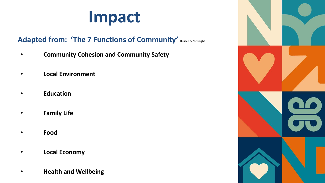# **Impact**

#### Adapted from: 'The 7 Functions of Community' Russell & McKnight

- **Community Cohesion and Community Safety**
- **Local Environment**
- **Education**
- **Family Life**
- **Food**
- **Local Economy**
- **Health and Wellbeing**